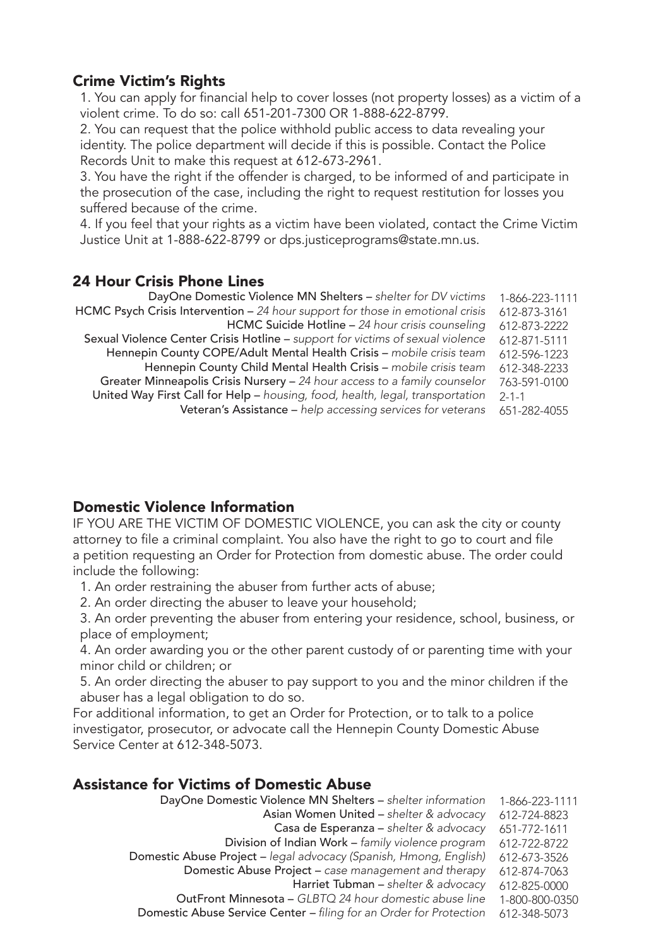## Crime Victim's Rights

1. You can apply for financial help to cover losses (not property losses) as a victim of a violent crime. To do so: call 651-201-7300 OR 1-888-622-8799.

2. You can request that the police withhold public access to data revealing your identity. The police department will decide if this is possible. Contact the Police Records Unit to make this request at 612-673-2961.

3. You have the right if the offender is charged, to be informed of and participate in the prosecution of the case, including the right to request restitution for losses you suffered because of the crime.

4. If you feel that your rights as a victim have been violated, contact the Crime Victim Justice Unit at 1-888-622-8799 or dps.justiceprograms@state.mn.us.

### 24 Hour Crisis Phone Lines

| DayOne Domestic Violence MN Shelters - shelter for DV victims                  | 1-866-223-1111 |
|--------------------------------------------------------------------------------|----------------|
| HCMC Psych Crisis Intervention - 24 hour support for those in emotional crisis | 612-873-3161   |
| HCMC Suicide Hotline - 24 hour crisis counseling                               | 612-873-2222   |
| Sexual Violence Center Crisis Hotline - support for victims of sexual violence | 612-871-5111   |
| Hennepin County COPE/Adult Mental Health Crisis - mobile crisis team           | 612-596-1223   |
| Hennepin County Child Mental Health Crisis - mobile crisis team                | 612-348-2233   |
| Greater Minneapolis Crisis Nursery - 24 hour access to a family counselor      | 763-591-0100   |
| United Way First Call for Help - housing, food, health, legal, transportation  | $2 - 1 - 1$    |
| Veteran's Assistance - help accessing services for veterans                    | 651-282-4055   |
|                                                                                |                |

## Domestic Violence Information

IF YOU ARE THE VICTIM OF DOMESTIC VIOLENCE, you can ask the city or county attorney to file a criminal complaint. You also have the right to go to court and file a petition requesting an Order for Protection from domestic abuse. The order could include the following:

- 1. An order restraining the abuser from further acts of abuse;
- 2. An order directing the abuser to leave your household;

3. An order preventing the abuser from entering your residence, school, business, or place of employment;

4. An order awarding you or the other parent custody of or parenting time with your minor child or children; or

5. An order directing the abuser to pay support to you and the minor children if the abuser has a legal obligation to do so.

For additional information, to get an Order for Protection, or to talk to a police investigator, prosecutor, or advocate call the Hennepin County Domestic Abuse Service Center at 612-348-5073.

### Assistance for Victims of Domestic Abuse

| DayOne Domestic Violence MN Shelters - shelter information         | 1-866-223-1111 |
|--------------------------------------------------------------------|----------------|
| Asian Women United - shelter & advocacy                            | 612-724-8823   |
| Casa de Esperanza - shelter & advocacy                             | 651-772-1611   |
| Division of Indian Work - family violence program                  | 612-722-8722   |
| Domestic Abuse Project - legal advocacy (Spanish, Hmong, English)  | 612-673-3526   |
| Domestic Abuse Project - case management and therapy               | 612-874-7063   |
| Harriet Tubman - shelter & advocacy                                | 612-825-0000   |
| OutFront Minnesota - GLBTQ 24 hour domestic abuse line             | 1-800-800-0350 |
| Domestic Abuse Service Center - filing for an Order for Protection | 612-348-5073   |